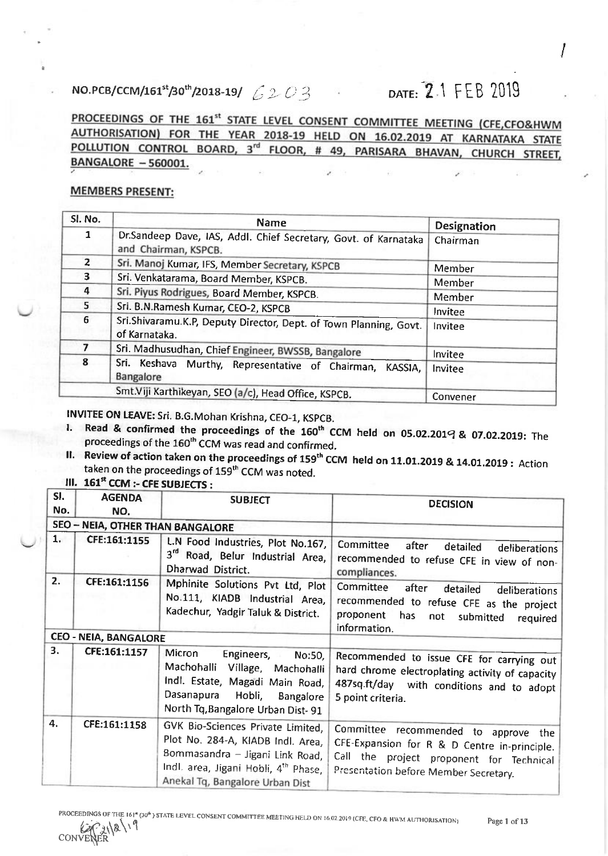## NO.PCB/CCM/161<sup>st</sup>/30<sup>th</sup>/2018-19/  $6203$ DATE: 2.1 FEB 2019

PROCEEDINGS OF THE 161<sup>st</sup> STATE LEVEL CONSENT COMMITTEE MEETING (CFE,CFO&HWM AUTHORISATION) FOR THE YEAR 2018-19 HELD ON 16.02.2019 AT KARNATAKA STATE POLLUTION CONTROL BOARD, 3<sup>rd</sup> FLOOR, # 49, PARISARA BHAVAN, CHURCH STREET, **BANGALORE - 560001.** 

I

## **MEMBERS PRESENT:**

| Sl. No.        | <b>Name</b>                                                                             | <b>Designation</b> |
|----------------|-----------------------------------------------------------------------------------------|--------------------|
| 1              | Dr.Sandeep Dave, IAS, Addl. Chief Secretary, Govt. of Karnataka<br>and Chairman, KSPCB. | Chairman           |
| $\overline{2}$ | Sri. Manoj Kumar, IFS, Member Secretary, KSPCB                                          | Member             |
| 3.             | Sri. Venkatarama, Board Member, KSPCB.                                                  | Member             |
| 4              | Sri. Piyus Rodrigues, Board Member, KSPCB.                                              | Member             |
| 5.             | Sri. B.N.Ramesh Kumar, CEO-2, KSPCB                                                     | Invitee            |
| 6              | Sri.Shivaramu.K.P, Deputy Director, Dept. of Town Planning, Govt.<br>of Karnataka.      | Invitee            |
|                | Sri. Madhusudhan, Chief Engineer, BWSSB, Bangalore<br>Invitee                           |                    |
| 8              | Sri. Keshava Murthy, Representative of Chairman,<br>KASSIA.<br>Bangalore                | Invitee            |
|                | Smt.Viji Karthikeyan, SEO (a/c), Head Office, KSPCB.                                    | Convener           |

- INVITEE ON LEAVE: Sri. B.G.Mohan Krishna, CEO-1, KSPCB.<br>l. Read & confirmed the proceedings of the 160<sup>th</sup> CCM held on 05.02.2019 & 07.02.2019: The<br>proceedings of the 160<sup>th</sup> CCM. proceedings of the 160<sup>th</sup> CCM was read and confirmed.<br>II. Review of action taken on the proceedings of 159<sup>th</sup> CCM
- heview of action taken on the proceedings of 159" CCM held on 11.01.2019 & 14.01.2019 : Action<br>taken on the proceedings of 159<sup>th</sup> CCM was noted. taken on the proceedings of 159<sup>th</sup> CCM was noted.<br>III. 161<sup>st</sup> CCM  $\cdot$  CFE SUBJECTS :

| SI.<br>No. | <b>AGENDA</b><br>NO.                    | <b>SUBJECT</b>                                                                                                                                                                       | <b>DECISION</b>                                                                                                                                                           |
|------------|-----------------------------------------|--------------------------------------------------------------------------------------------------------------------------------------------------------------------------------------|---------------------------------------------------------------------------------------------------------------------------------------------------------------------------|
|            | <b>SEO - NEIA, OTHER THAN BANGALORE</b> |                                                                                                                                                                                      |                                                                                                                                                                           |
| 1.         | CFE:161:1155                            | L.N Food Industries, Plot No.167,<br>3rd Road, Belur Industrial Area,<br>Dharwad District.                                                                                           | Committee<br>after<br>detailed<br>deliberations<br>recommended to refuse CFE in view of non-<br>compliances.                                                              |
| 2.         | CFE:161:1156                            | Mphinite Solutions Pvt Ltd, Plot<br>No.111, KIADB Industrial Area,<br>Kadechur, Yadgir Taluk & District.                                                                             | Committee<br>after<br>detailed<br>deliberations<br>recommended to refuse CFE as the project<br>proponent<br>has<br>not<br>submitted<br>required<br>information.           |
|            | <b>CEO - NEIA, BANGALORE</b>            |                                                                                                                                                                                      |                                                                                                                                                                           |
| 3.         | CFE:161:1157                            | Micron<br>Engineers,<br>No:50,<br>Machohalli<br>Village, Machohalli<br>Indl. Estate, Magadi Main Road,<br>Dasanapura Hobli,<br>Bangalore<br>North Tq, Bangalore Urban Dist-91        | Recommended to issue CFE for carrying out<br>hard chrome electroplating activity of capacity<br>487sq.ft/day with conditions and to adopt<br>5 point criteria.            |
| 4.         | CFE:161:1158                            | GVK Bio-Sciences Private Limited,<br>Plot No. 284-A, KIADB Indl. Area,<br>Bommasandra - Jigani Link Road,<br>Indl. area, Jigani Hobli, 4th Phase,<br>Anekal Tq, Bangalore Urban Dist | Committee recommended to approve the<br>CFE-Expansion for R & D Centre in-principle.<br>Call the project proponent for Technical<br>Presentation before Member Secretary. |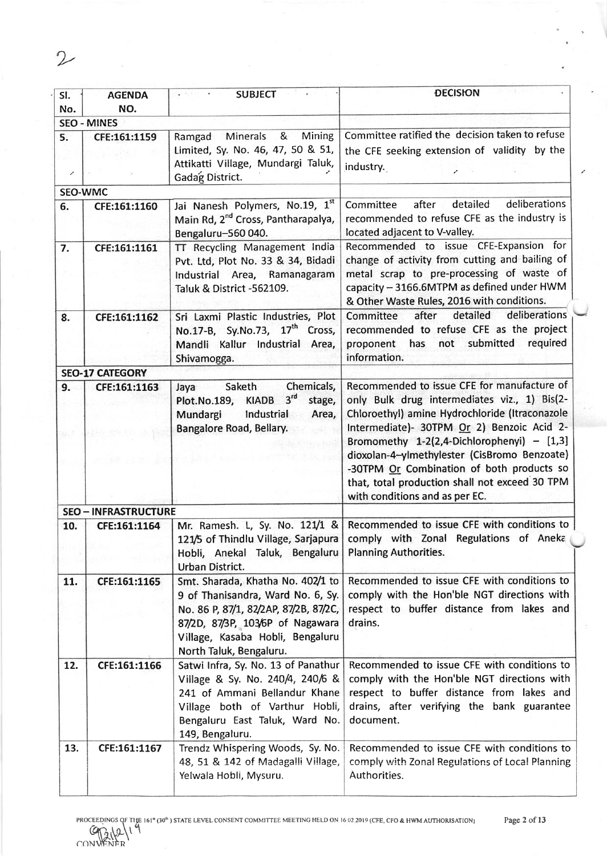| SI.<br>No.     | <b>AGENDA</b><br>NO.        | $-241$<br><b>SUBJECT</b>                                                                                                                                                                                           | <b>DECISION</b>                                                                                                                                                                                                                                                                                                                                                                                                              |
|----------------|-----------------------------|--------------------------------------------------------------------------------------------------------------------------------------------------------------------------------------------------------------------|------------------------------------------------------------------------------------------------------------------------------------------------------------------------------------------------------------------------------------------------------------------------------------------------------------------------------------------------------------------------------------------------------------------------------|
|                | <b>SEO - MINES</b>          |                                                                                                                                                                                                                    |                                                                                                                                                                                                                                                                                                                                                                                                                              |
| 5.<br>৴        | CFE:161:1159                | Minerals &<br>Mining<br>Ramgad<br>Limited, Sy. No. 46, 47, 50 & 51,<br>Attikatti Village, Mundargi Taluk,<br>Gadag District.                                                                                       | Committee ratified the decision taken to refuse<br>the CFE seeking extension of validity by the<br>industry.                                                                                                                                                                                                                                                                                                                 |
| <b>SEO-WMC</b> |                             |                                                                                                                                                                                                                    |                                                                                                                                                                                                                                                                                                                                                                                                                              |
| 6.             | CFE:161:1160                | Jai Nanesh Polymers, No.19, 1st<br>Main Rd, 2 <sup>nd</sup> Cross, Pantharapalya,<br>Bengaluru-560 040.                                                                                                            | deliberations<br>after<br>detailed<br>Committee<br>recommended to refuse CFE as the industry is<br>located adjacent to V-valley.                                                                                                                                                                                                                                                                                             |
| 7.             | CFE:161:1161                | TT Recycling Management India<br>Pvt. Ltd, Plot No. 33 & 34, Bidadi<br>Industrial Area, Ramanagaram<br>Taluk & District -562109.                                                                                   | Recommended to issue CFE-Expansion for<br>change of activity from cutting and bailing of<br>metal scrap to pre-processing of waste of<br>capacity - 3166.6MTPM as defined under HWM<br>& Other Waste Rules, 2016 with conditions.                                                                                                                                                                                            |
| 8.             | CFE:161:1162                | Sri Laxmi Plastic Industries, Plot<br>No.17-B, Sy.No.73, 17 <sup>th</sup> Cross,<br>Mandli Kallur Industrial Area,<br>Shivamogga.                                                                                  | detailed<br>deliberations<br>after<br>Committee<br>recommended to refuse CFE as the project<br>submitted<br>required<br>has<br>proponent<br>not<br>information.                                                                                                                                                                                                                                                              |
|                | <b>SEO-17 CATEGORY</b>      |                                                                                                                                                                                                                    |                                                                                                                                                                                                                                                                                                                                                                                                                              |
| 9.             | CFE:161:1163                | Chemicals,<br>Saketh<br>Jaya<br>Plot.No.189, KIADB 3rd<br>stage,<br>Mundargi<br>Industrial<br>Area,<br>Bangalore Road, Bellary.                                                                                    | Recommended to issue CFE for manufacture of<br>only Bulk drug intermediates viz., 1) Bis(2-<br>Chloroethyl) amine Hydrochloride (Itraconazole<br>Intermediate)- 30TPM Or 2) Benzoic Acid 2-<br>Bromomethy $1-2(2,4-Dichlorophenyi) - [1,3]$<br>dioxolan-4-ylmethylester (CisBromo Benzoate)<br>-30TPM Or Combination of both products so<br>that, total production shall not exceed 30 TPM<br>with conditions and as per EC. |
|                | <b>SEO - INFRASTRUCTURE</b> |                                                                                                                                                                                                                    |                                                                                                                                                                                                                                                                                                                                                                                                                              |
| 10.            | CFE:161:1164                | Hobli, Anekal Taluk, Bengaluru<br>Urban District.                                                                                                                                                                  | Mr. Ramesh. L, Sy. No. 121/1 & Recommended to issue CFE with conditions to<br>121/5 of Thindlu Village, Sarjapura   comply with Zonal Regulations of Aneka<br><b>Planning Authorities.</b>                                                                                                                                                                                                                                   |
| 11.            | CFE:161:1165                | Smt. Sharada, Khatha No. 402/1 to<br>9 of Thanisandra, Ward No. 6, Sy.<br>No. 86 P, 87/1, 82/2AP, 87/2B, 87/2C,<br>87/2D, 87/3P, 103/6P of Nagawara<br>Village, Kasaba Hobli, Bengaluru<br>North Taluk, Bengaluru. | Recommended to issue CFE with conditions to<br>comply with the Hon'ble NGT directions with<br>respect to buffer distance from lakes and<br>drains.                                                                                                                                                                                                                                                                           |
| 12.            | CFE:161:1166                | Satwi Infra, Sy. No. 13 of Panathur<br>Village & Sy. No. 240/4, 240/6 &<br>241 of Ammani Bellandur Khane<br>Village both of Varthur Hobli,<br>Bengaluru East Taluk, Ward No.<br>149, Bengaluru.                    | Recommended to issue CFE with conditions to<br>comply with the Hon'ble NGT directions with<br>respect to buffer distance from lakes and<br>drains, after verifying the bank guarantee<br>document.                                                                                                                                                                                                                           |
| 13.            | CFE:161:1167                | Trendz Whispering Woods, Sy. No.<br>48, 51 & 142 of Madagalli Village,<br>Yelwala Hobli, Mysuru.                                                                                                                   | Recommended to issue CFE with conditions to<br>comply with Zonal Regulations of Local Planning<br>Authorities.                                                                                                                                                                                                                                                                                                               |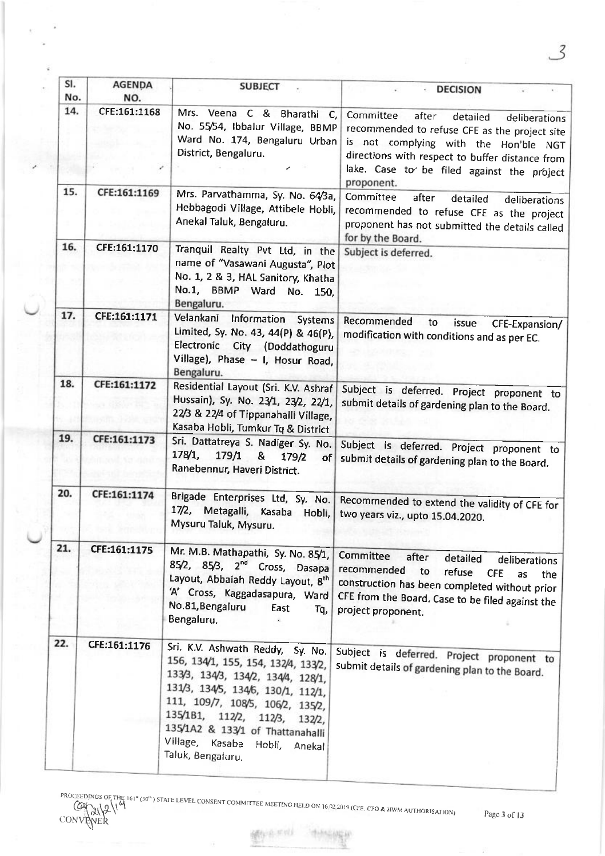| SI.<br>No. | <b>AGENDA</b><br>NO. | <b>SUBJECT</b>                                                                                                                                                                                                                                                                                                     | <b>DECISION</b>                                                                                                                                                                                                                                          |
|------------|----------------------|--------------------------------------------------------------------------------------------------------------------------------------------------------------------------------------------------------------------------------------------------------------------------------------------------------------------|----------------------------------------------------------------------------------------------------------------------------------------------------------------------------------------------------------------------------------------------------------|
| 14.        | CFE:161:1168         | Mrs. Veena C & Bharathi C,<br>No. 55/54, Ibbalur Village, BBMP<br>Ward No. 174, Bengaluru Urban<br>District, Bengaluru.                                                                                                                                                                                            | Committee<br>after<br>detailed<br>deliberations<br>recommended to refuse CFE as the project site<br>is not complying with the Hon'ble NGT<br>directions with respect to buffer distance from<br>lake. Case to be filed against the project<br>proponent. |
| 15.        | CFE:161:1169         | Mrs. Parvathamma, Sy. No. 64/3a,<br>Hebbagodi Village, Attibele Hobli,<br>Anekal Taluk, Bengaluru.                                                                                                                                                                                                                 | Committee<br>after<br>detailed<br>deliberations<br>recommended to refuse CFE as the project<br>proponent has not submitted the details called<br>for by the Board.                                                                                       |
| 16.        | CFE:161:1170         | Tranquil Realty Pvt Ltd, in the<br>name of "Vasawani Augusta", Plot<br>No. 1, 2 & 3, HAL Sanitory, Khatha<br>No.1, BBMP Ward No. 150,<br>Bengaluru.                                                                                                                                                                | Subject is deferred.                                                                                                                                                                                                                                     |
| 17.        | CFE:161:1171         | Velankani<br>Information<br><b>Systems</b><br>Limited, Sy. No. 43, 44(P) & 46(P),<br>Electronic City (Doddathoguru<br>Village), Phase - I, Hosur Road,<br>Bengaluru.                                                                                                                                               | Recommended<br>to<br>issue<br>CFE-Expansion/<br>modification with conditions and as per EC.                                                                                                                                                              |
| 18.        | CFE:161:1172         | Residential Layout (Sri. K.V. Ashraf<br>Hussain), Sy. No. 23/1, 23/2, 22/1,<br>22/3 & 22/4 of Tippanahalli Village,<br>Kasaba Hobli, Tumkur Tq & District                                                                                                                                                          | Subject is deferred. Project proponent to<br>submit details of gardening plan to the Board.                                                                                                                                                              |
| 19.        | CFE:161:1173         | Sri. Dattatreya S. Nadiger Sy. No.<br>178/1,<br>179/1<br>&<br>179/2<br>of<br>Ranebennur, Haveri District.                                                                                                                                                                                                          | Subject is deferred. Project proponent to<br>submit details of gardening plan to the Board.                                                                                                                                                              |
| 20.        | CFE:161:1174         | Brigade Enterprises Ltd, Sy. No.<br>17/2,<br>Metagalli, Kasaba<br>Hobli,<br>Mysuru Taluk, Mysuru.                                                                                                                                                                                                                  | Recommended to extend the validity of CFE for<br>two years viz., upto 15.04.2020.                                                                                                                                                                        |
| 21.        | CFE:161:1175         | Mr. M.B. Mathapathi, Sy. No. 85/1,<br>85/2, 85/3, 2 <sup>nd</sup> Cross, Dasapa<br>Layout, Abbaiah Reddy Layout, 8th<br>'A' Cross, Kaggadasapura, Ward<br>No.81, Bengaluru<br>East<br>Tq,<br>Bengaluru.                                                                                                            | Committee<br>after<br>detailed<br>deliberations<br>recommended<br>to<br>refuse<br><b>CFE</b><br>as<br>the<br>construction has been completed without prior<br>CFE from the Board. Case to be filed against the<br>project proponent.                     |
| 22.        | CFE:161:1176         | Sri. K.V. Ashwath Reddy, Sy. No.<br>156, 134/1, 155, 154, 132/4, 133/2,<br>133/3, 134/3, 134/2, 134/4, 128/1,<br>131/3, 134/5, 134/6, 130/1, 112/1,<br>111, 109/7, 108/5, 106/2, 135/2,<br>135/181, 112/2, 112/3, 132/2,<br>135/1A2 & 133/1 of Thattanahalli<br>Village, Kasaba Hobli, Anekal<br>Taluk, Bengaluru. | Subject is deferred. Project proponent to<br>submit details of gardening plan to the Board.                                                                                                                                                              |

主要

3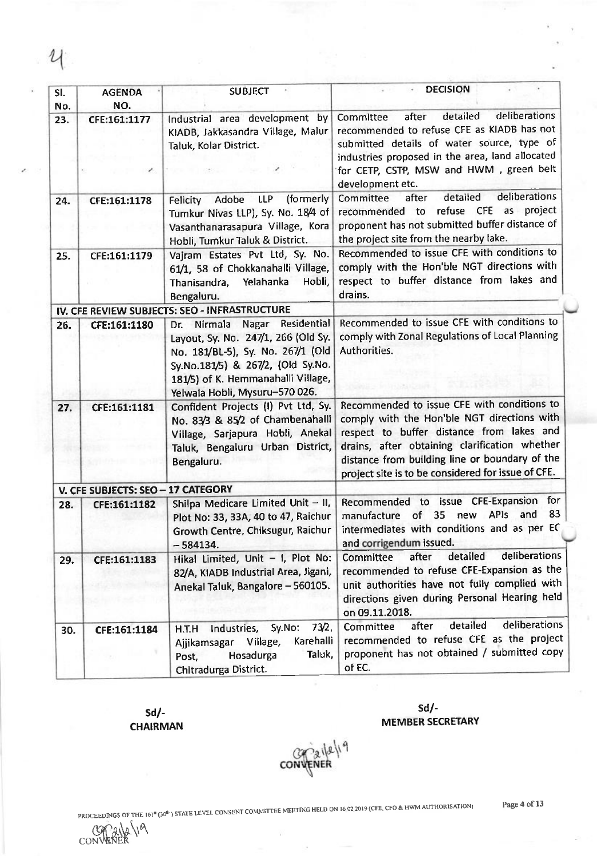| SI.<br>No. | <b>AGENDA</b><br>NO.               | <b>SUBJECT</b>                                                                                                                                                                                                                  | <b>DECISION</b>                                                                                                                                                                                                                                                                                  |
|------------|------------------------------------|---------------------------------------------------------------------------------------------------------------------------------------------------------------------------------------------------------------------------------|--------------------------------------------------------------------------------------------------------------------------------------------------------------------------------------------------------------------------------------------------------------------------------------------------|
| 23.        | CFE:161:1177                       | Industrial area development by<br>KIADB, Jakkasandra Village, Malur<br>Taluk, Kolar District.                                                                                                                                   | deliberations<br>detailed<br>after<br>Committee<br>recommended to refuse CFE as KIADB has not<br>submitted details of water source, type of<br>industries proposed in the area, land allocated<br>for CETP, CSTP, MSW and HWM, green belt<br>development etc.                                    |
| 24.        | CFE:161:1178                       | (formerly<br>LLP<br>Adobe<br>Felicity<br>Tumkur Nivas LLP), Sy. No. 18/4 of<br>Vasanthanarasapura Village, Kora<br>Hobli, Tumkur Taluk & District.                                                                              | deliberations<br>detailed<br>Committee<br>after<br>refuse CFE as project<br>recommended to<br>proponent has not submitted buffer distance of<br>the project site from the nearby lake.                                                                                                           |
| 25.        | CFE:161:1179                       | Vajram Estates Pvt Ltd, Sy. No.<br>61/1, 58 of Chokkanahalli Village,<br>Thanisandra, Yelahanka<br>Hobli,<br>Bengaluru.                                                                                                         | Recommended to issue CFE with conditions to<br>comply with the Hon'ble NGT directions with<br>respect to buffer distance from lakes and<br>drains.                                                                                                                                               |
|            |                                    | IV. CFE REVIEW SUBJECTS: SEO - INFRASTRUCTURE                                                                                                                                                                                   |                                                                                                                                                                                                                                                                                                  |
| 26.        | CFE:161:1180                       | Residential<br>Nirmala<br>Nagar<br>Dr.<br>Layout, Sy. No. 247/1, 266 (Old Sy.<br>No. 181/BL-5), Sy. No. 267/1 (Old<br>Sy.No.181/5) & 267/2, (Old Sy.No.<br>181/5) of K. Hemmanahalli Village,<br>Yelwala Hobli, Mysuru-570 026. | Recommended to issue CFE with conditions to<br>comply with Zonal Regulations of Local Planning<br>Authorities.                                                                                                                                                                                   |
| 27.        | CFE:161:1181                       | Confident Projects (I) Pvt Ltd, Sy.<br>No. 83/3 & 85/2 of Chambenahalli<br>Village, Sarjapura Hobli, Anekal<br>Taluk, Bengaluru Urban District,<br>Bengaluru.                                                                   | Recommended to issue CFE with conditions to<br>comply with the Hon'ble NGT directions with<br>respect to buffer distance from lakes and<br>drains, after obtaining clarification whether<br>distance from building line or boundary of the<br>project site is to be considered for issue of CFE. |
|            | V. CFE SUBJECTS: SEO - 17 CATEGORY |                                                                                                                                                                                                                                 |                                                                                                                                                                                                                                                                                                  |
| 28.        | CFE:161:1182                       | Shilpa Medicare Limited Unit - II,<br>Plot No: 33, 33A, 40 to 47, Raichur<br>Growth Centre, Chiksugur, Raichur<br>$-584134.$                                                                                                    | Recommended to issue CFE-Expansion for<br>83<br>APIs<br>of<br>35<br>new<br>and<br>manufacture<br>intermediates with conditions and as per EC<br>and corrigendum issued.                                                                                                                          |
| 29.        | CFE:161:1183                       | Hikal Limited, Unit - I, Plot No:<br>82/A, KIADB Industrial Area, Jigani,<br>Anekal Taluk, Bangalore - 560105.                                                                                                                  | deliberations<br>detailed<br><b>Committee</b><br>after<br>recommended to refuse CFE-Expansion as the<br>unit authorities have not fully complied with<br>directions given during Personal Hearing held<br>on 09.11.2018.                                                                         |
| 30.        | CFE:161:1184                       | 73/2,<br>Sy.No:<br>Industries,<br>H.T.H<br>Karehalli<br>Ajjikamsagar Village,<br>Taluk,<br>Hosadurga<br>Post,<br>Chitradurga District.                                                                                          | deliberations<br>detailed<br>after<br>Committee<br>recommended to refuse CFE as the project<br>proponent has not obtained / submitted copy<br>of EC.                                                                                                                                             |

sd/- CHAIRMAN

CONVENER

sd/- MEMBER SECRETARY

conveniel<sup>9</sup>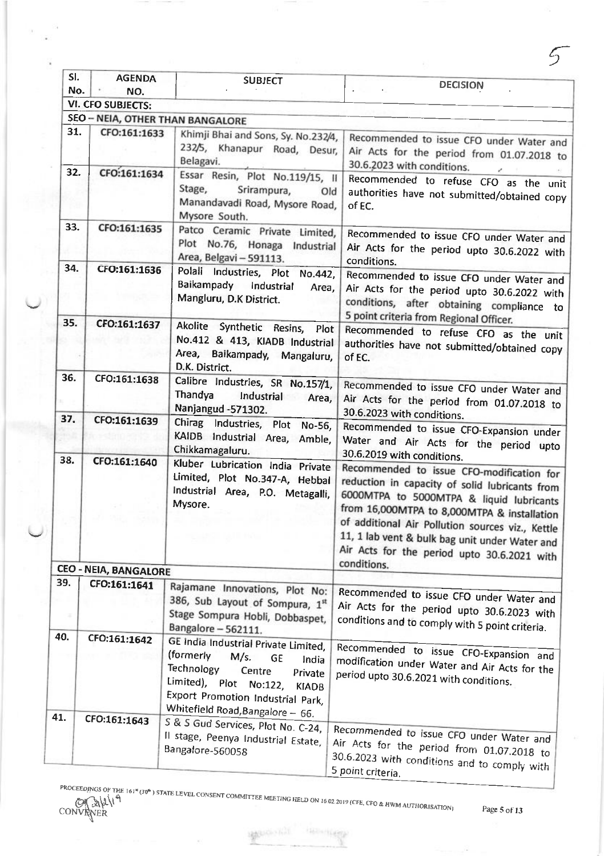| SI.      | <b>AGENDA</b>                | <b>SUBJECT</b>                                                                                                                                                                                                                        | <b>DECISION</b>                                                                                                                                                                                                                                                                                                            |
|----------|------------------------------|---------------------------------------------------------------------------------------------------------------------------------------------------------------------------------------------------------------------------------------|----------------------------------------------------------------------------------------------------------------------------------------------------------------------------------------------------------------------------------------------------------------------------------------------------------------------------|
| No.      | NO.                          |                                                                                                                                                                                                                                       |                                                                                                                                                                                                                                                                                                                            |
|          | <b>VI. CFO SUBJECTS:</b>     |                                                                                                                                                                                                                                       |                                                                                                                                                                                                                                                                                                                            |
|          |                              | SEO - NEIA, OTHER THAN BANGALORE                                                                                                                                                                                                      |                                                                                                                                                                                                                                                                                                                            |
| 31.      | CFO:161:1633                 | Khimji Bhai and Sons, Sy. No.232/4,<br>232/5, Khanapur Road, Desur,<br>Belagavi.                                                                                                                                                      | Recommended to issue CFO under Water and<br>Air Acts for the period from 01.07.2018 to<br>30.6.2023 with conditions.                                                                                                                                                                                                       |
| 32.      | CFO:161:1634                 | Essar Resin, Plot No.119/15, II<br>Stage,<br>Srirampura,<br>Old<br>Manandavadi Road, Mysore Road,<br>Mysore South.                                                                                                                    | Recommended to refuse CFO as the unit<br>authorities have not submitted/obtained copy<br>of EC.                                                                                                                                                                                                                            |
| 33.      | CFO:161:1635                 | Patco Ceramic Private Limited,<br>Plot No.76, Honaga Industrial<br>Area, Belgavi - 591113.                                                                                                                                            | Recommended to issue CFO under Water and<br>Air Acts for the period upto 30.6.2022 with<br>conditions.                                                                                                                                                                                                                     |
| 34.      | CFO:161:1636                 | Polali Industries, Plot No.442,<br>Baikampady Industrial<br>Area,<br>Mangluru, D.K District.                                                                                                                                          | Recommended to issue CFO under Water and<br>Air Acts for the period upto 30.6.2022 with<br>conditions, after obtaining compliance to<br>5 point criteria from Regional Officer.                                                                                                                                            |
| 35.      | CFO:161:1637                 | Akolite Synthetic Resins, Plot                                                                                                                                                                                                        | Recommended to refuse CFO as the unit                                                                                                                                                                                                                                                                                      |
|          |                              | No.412 & 413, KIADB Industrial<br>Area, Baikampady, Mangaluru,<br>D.K. District.                                                                                                                                                      | authorities have not submitted/obtained copy<br>of EC.                                                                                                                                                                                                                                                                     |
| 36.      | CFO:161:1638                 | Calibre Industries, SR No.157/1,<br>Thandya<br>Industrial<br>Area,<br>Nanjangud -571302.                                                                                                                                              | Recommended to issue CFO under Water and<br>Air Acts for the period from 01.07.2018 to<br>30.6.2023 with conditions.                                                                                                                                                                                                       |
| 37.      | CFO:161:1639                 | Chirag Industries, Plot No-56,<br>KAIDB Industrial Area, Amble,<br>Chikkamagaluru.                                                                                                                                                    | Recommended to issue CFO-Expansion under<br>Water and Air Acts for the period upto                                                                                                                                                                                                                                         |
| 38.      | CFO:161:1640                 | Kluber Lubrication India Private<br>Limited, Plot No.347-A, Hebbal<br>Industrial Area, P.O. Metagalli,<br>Mysore.                                                                                                                     | 30.6.2019 with conditions.<br>Recommended to issue CFO-modification for<br>reduction in capacity of solid lubricants from<br>6000MTPA to 5000MTPA & liquid lubricants<br>from 16,000MTPA to 8,000MTPA & installation<br>of additional Air Pollution sources viz., Kettle<br>11, 1 lab vent & bulk bag unit under Water and |
|          |                              |                                                                                                                                                                                                                                       | Air Acts for the period upto 30.6.2021 with                                                                                                                                                                                                                                                                                |
|          |                              |                                                                                                                                                                                                                                       | conditions.                                                                                                                                                                                                                                                                                                                |
|          | <b>CEO - NEIA, BANGALORE</b> |                                                                                                                                                                                                                                       |                                                                                                                                                                                                                                                                                                                            |
| 39.<br>× | CFO:161:1641                 | Rajamane Innovations, Plot No:<br>386, Sub Layout of Sompura, 1st<br>Stage Sompura Hobli, Dobbaspet,<br>Bangalore-562111.                                                                                                             | Recommended to issue CFO under Water and<br>Air Acts for the period upto 30.6.2023 with<br>conditions and to comply with 5 point criteria.                                                                                                                                                                                 |
| 40.      | CFO:161:1642                 | GE India Industrial Private Limited,<br>(formerly<br>M/s.<br><b>GE</b><br>India<br>Technology<br>Centre<br>Private<br>Limited), Plot No:122,<br><b>KIADB</b><br>Export Promotion Industrial Park,<br>Whitefield Road, Bangalore - 66. | Recommended to issue CFO-Expansion and<br>modification under Water and Air Acts for the<br>period upto 30.6.2021 with conditions.                                                                                                                                                                                          |
| 41.      | CFO:161:1643                 | S & S Gud Services, Plot No. C-24,<br>Il stage, Peenya Industrial Estate,<br>Bangalore-560058                                                                                                                                         | Recommended to issue CFO under Water and<br>Air Acts for the period from 01.07.2018 to<br>30.6.2023 with conditions and to comply with<br>5 point criteria.                                                                                                                                                                |

**MOUGHAI** 

**Holland Contract** 

N

5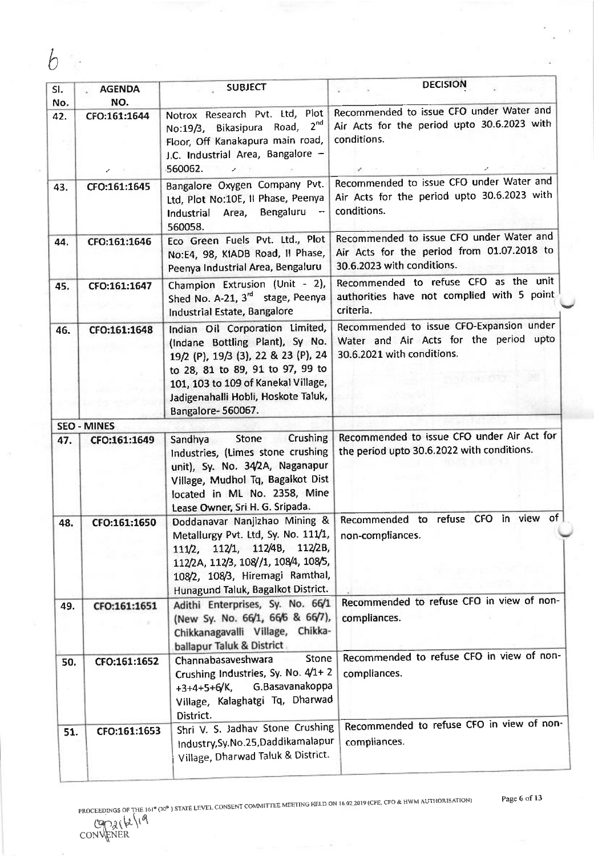| SI.<br>No. | <b>AGENDA</b><br>NO. | <b>SUBJECT</b>                                                                                                                                                                                                                                   | <b>DECISION</b>                                                                                                      |
|------------|----------------------|--------------------------------------------------------------------------------------------------------------------------------------------------------------------------------------------------------------------------------------------------|----------------------------------------------------------------------------------------------------------------------|
| 42.        | CFO:161:1644         | Notrox Research Pvt. Ltd, Plot<br>2 <sup>nd</sup><br>No:19/3, Bikasipura Road,<br>Floor, Off Kanakapura main road,<br>J.C. Industrial Area, Bangalore -<br>560062.                                                                               | Recommended to issue CFO under Water and<br>Air Acts for the period upto 30.6.2023 with<br>conditions.               |
| 43.        | CFO:161:1645         | Bangalore Oxygen Company Pvt.<br>Ltd, Plot No:10E, Il Phase, Peenya<br>Industrial Area, Bengaluru<br>560058.                                                                                                                                     | Recommended to issue CFO under Water and<br>Air Acts for the period upto 30.6.2023 with<br>conditions.               |
| 44.        | CFO:161:1646         | Eco Green Fuels Pvt. Ltd., Plot<br>No:E4, 98, KIADB Road, Il Phase,<br>Peenya Industrial Area, Bengaluru                                                                                                                                         | Recommended to issue CFO under Water and<br>Air Acts for the period from 01.07.2018 to<br>30.6.2023 with conditions. |
| 45.        | CFO:161:1647         | Champion Extrusion (Unit - 2),<br>Shed No. A-21, 3 <sup>rd</sup> stage, Peenya<br>Industrial Estate, Bangalore                                                                                                                                   | Recommended to refuse CFO as the unit<br>authorities have not complied with 5 point<br>criteria.                     |
| 46.        | CFO:161:1648         | Indian Oil Corporation Limited,<br>(Indane Bottling Plant), Sy No.<br>19/2 (P), 19/3 (3), 22 & 23 (P), 24<br>to 28, 81 to 89, 91 to 97, 99 to<br>101, 103 to 109 of Kanekal Village,<br>Jadigenahalli Hobli, Hoskote Taluk,<br>Bangalore-560067. | Recommended to issue CFO-Expansion under<br>Water and Air Acts for the period upto<br>30.6.2021 with conditions.     |
|            | <b>SEO - MINES</b>   |                                                                                                                                                                                                                                                  |                                                                                                                      |
| 47.        | CFO:161:1649         | Crushing<br>Stone<br>Sandhya<br>Industries, (Limes stone crushing<br>unit), Sy. No. 34/2A, Naganapur<br>Village, Mudhol Tq, Bagalkot Dist<br>located in ML No. 2358, Mine<br>Lease Owner, Sri H. G. Sripada.                                     | Recommended to issue CFO under Air Act for<br>the period upto 30.6.2022 with conditions.                             |
| 48.        | CFO:161:1650         | Doddanavar Nanjizhao Mining &<br>Metallurgy Pvt. Ltd, Sy. No. 111/1,<br>111/2, 112/1, 112/48, 112/2B,<br>112/2A, 112/3, 108//1, 108/4, 108/5,<br>108/2, 108/3, Hiremagi Ramthal,<br>Hunagund Taluk, Bagalkot District.                           | Recommended to refuse CFO in view of<br>non-compliances.                                                             |
| 49.        | CFO:161:1651         | Adithi Enterprises, Sy. No. 66/1<br>(New Sy. No. 66/1, 66/6 & 66/7),<br>Chikkanagavalli Village, Chikka-<br>ballapur Taluk & District                                                                                                            | Recommended to refuse CFO in view of non-<br>compliances.                                                            |
| 50.        | CFO:161:1652         | <b>Stone</b><br>Channabasaveshwara<br>Crushing Industries, Sy. No. 4/1+2<br>+3+4+5+6/K, G.Basavanakoppa<br>Village, Kalaghatgi Tq, Dharwad<br>District.                                                                                          | Recommended to refuse CFO in view of non-<br>compliances.                                                            |
| 51.        | CFO:161:1653         | Shri V. S. Jadhav Stone Crushing<br>Industry, Sy. No. 25, Daddikamalapur<br>Village, Dharwad Taluk & District.                                                                                                                                   | Recommended to refuse CFO in view of non-<br>compliances.                                                            |

÷

CON\ENER

Page 6 of 13